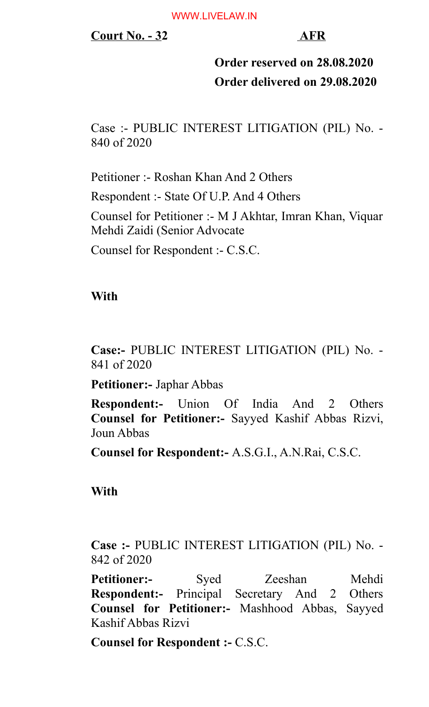## **Court No. - 32 AFR**

# **Order reserved on 28.08.2020 Order delivered on 29.08.2020**

Case :- PUBLIC INTEREST LITIGATION (PIL) No. - 840 of 2020

Petitioner :- Roshan Khan And 2 Others Respondent :- State Of U.P. And 4 Others Counsel for Petitioner :- M J Akhtar, Imran Khan, Viquar Mehdi Zaidi (Senior Advocate Counsel for Respondent :- C.S.C.

## **With**

**Case:-** PUBLIC INTEREST LITIGATION (PIL) No. - 841 of 2020

**Petitioner:-** Japhar Abbas

**Respondent:-** Union Of India And 2 Others **Counsel for Petitioner:-** Sayyed Kashif Abbas Rizvi, Joun Abbas

**Counsel for Respondent:-** A.S.G.I., A.N.Rai, C.S.C.

## **With**

**Case :-** PUBLIC INTEREST LITIGATION (PIL) No. - 842 of 2020

Petitioner:- Syed Zeeshan Mehdi **Respondent:-** Principal Secretary And 2 Others **Counsel for Petitioner:-** Mashhood Abbas, Sayyed Kashif Abbas Rizvi

**Counsel for Respondent :-** C.S.C.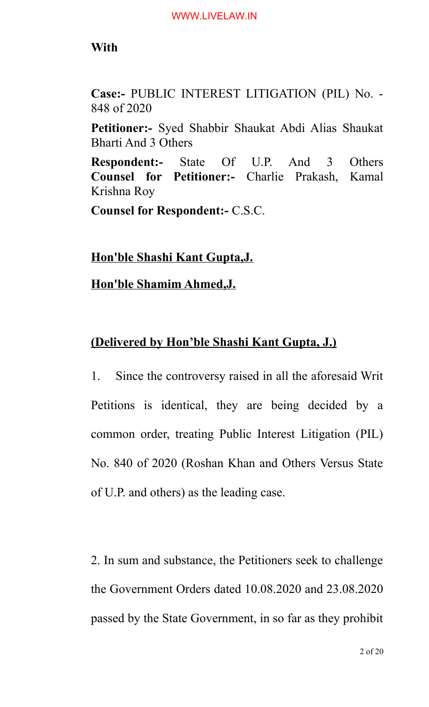## **With**

**Case:-** PUBLIC INTEREST LITIGATION (PIL) No. - 848 of 2020

**Petitioner:-** Syed Shabbir Shaukat Abdi Alias Shaukat Bharti And 3 Others

**Respondent:-** State Of U.P. And 3 Others **Counsel for Petitioner:-** Charlie Prakash, Kamal Krishna Roy

**Counsel for Respondent:-** C.S.C.

**Hon'ble Shashi Kant Gupta,J.**

**Hon'ble Shamim Ahmed,J.**

## **(Delivered by Hon'ble Shashi Kant Gupta, J.)**

1. Since the controversy raised in all the aforesaid Writ Petitions is identical, they are being decided by a common order, treating Public Interest Litigation (PIL) No. 840 of 2020 (Roshan Khan and Others Versus State of U.P. and others) as the leading case.

2. In sum and substance, the Petitioners seek to challenge the Government Orders dated 10.08.2020 and 23.08.2020 passed by the State Government, in so far as they prohibit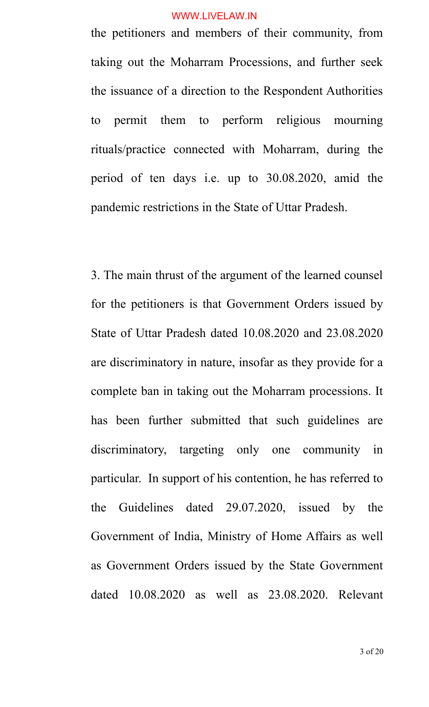the petitioners and members of their community, from taking out the Moharram Processions, and further seek the issuance of a direction to the Respondent Authorities to permit them to perform religious mourning rituals/practice connected with Moharram, during the period of ten days i.e. up to 30.08.2020, amid the pandemic restrictions in the State of Uttar Pradesh.

3. The main thrust of the argument of the learned counsel for the petitioners is that Government Orders issued by State of Uttar Pradesh dated 10.08.2020 and 23.08.2020 are discriminatory in nature, insofar as they provide for a complete ban in taking out the Moharram processions. It has been further submitted that such guidelines are discriminatory, targeting only one community in particular. In support of his contention, he has referred to the Guidelines dated 29.07.2020, issued by the Government of India, Ministry of Home Affairs as well as Government Orders issued by the State Government dated 10.08.2020 as well as 23.08.2020. Relevant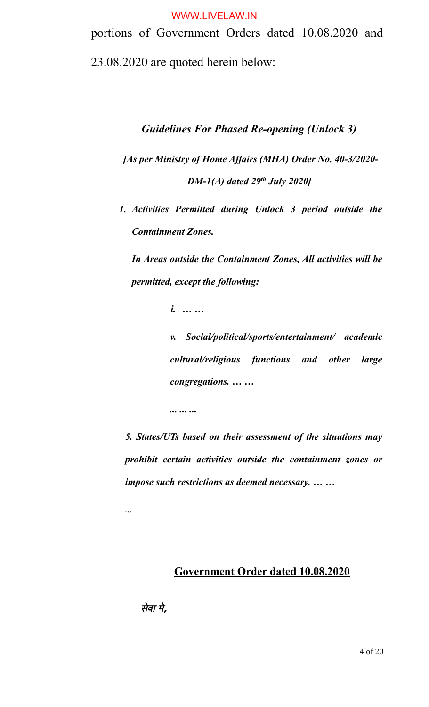portions of Government Orders dated 10.08.2020 and 23.08.2020 are quoted herein below:

#### *Guidelines For Phased Re-opening (Unlock 3)*

*[As per Ministry of Home Affairs (MHA) Order No. 40-3/2020- DM-1(A) dated 29th July 2020]*

*1. Activities Permitted during Unlock 3 period outside the Containment Zones.* 

*In Areas outside the Containment Zones, All activities will be permitted, except the following:*

*i. … …*

*... ... ...*

*v. Social/political/sports/entertainment/ academic cultural/religious functions and other large congregations. … …*

*5. States/UTs based on their assessment of the situations may prohibit certain activities outside the containment zones or impose such restrictions as deemed necessary. … …*

## **Government Order dated 10.08.2020**

सेवा मे**,**

*...*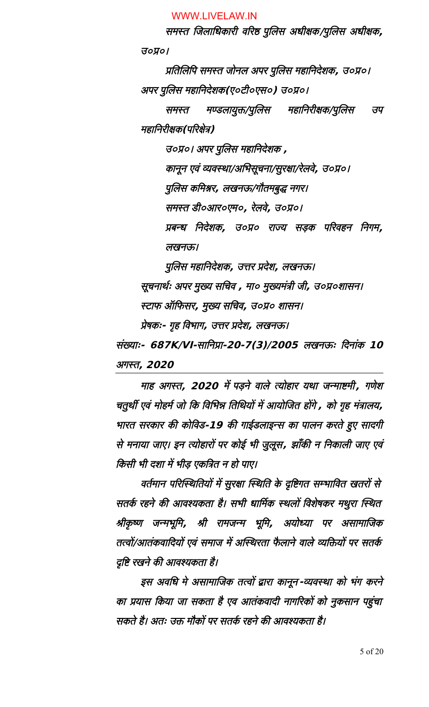समस्त जिलाधिकारी वरिष्ठ पुलिस अधीक्षक/पुलिस अधीक्षक**,** उ०प्र०। प्रधितलिलपिप समस्त ोनल अपर पुलिलस महापिनदेशक**,** उ०प्र०।

अपर पुलिलस महापिनदेशक**(**ए०टी०एस०**)** उ०प्र०।

समस्त मण्डलायुक्त/पुलिस महानिरीक्षक/पुलिस उप महापिनरीक्षक**(**परिरक्षेत्र**)** 

उ०प्र०। अपर पुलिस महानिदेशक **,** 

कानून एवं व्यवस्था**/**अभि.सूचना**/**सुरक्षा**/**रेलवे**,** उ०प्र०।

पुलिलस कपिमश्नर**,** लखनऊ**/**गौतमबुद्ध नगर।

समस्त डी०आर०एम०**,** रेलवे**,** उ०प्र०।

प्रबन् पिनदेशक**,** उ०प्र० राज्य सड़क परिरवहन पिनगम**,** लखनऊ।

पुलिलस महापिनदेशक**,** उत्तर प्रदेश**,** लखनऊ। सूचनाथ<ः अपर मुख्य सधिचव **,** मा० मुख्यमंत्री ी**,** उ०प्र०शासन। स्टाफ ऑपिफसर**,** मुख्य सधिचव**,** उ०प्र० शासन।

प्रेषकः**-** गृह पिव.ाग**,** उत्तर प्रदेश**,** लखनऊ।

संख्याः**- 687K/VI-K/VI-**सापिनप्रा**-20-7K/VI-(3)/2005** लखनऊः पिदनांक **<sup>10</sup>** अगस्त**, 2020**

माह अगस्त**, <sup>2020</sup>** में पड़ने वाले त्योहार यथा न्माष्टमी**,** गणेश चतुर्थी एवं मोहर्म जो कि विभिन्न तिथियों में आयोजित होंगे **,** को गृह मंत्रालय**,** .ारत सरकार की कोपिवड**-19** की गाईडलाइन्स का पालन करते हुए सादगी से मनाया जाए। इन त्योहारों पर कोई भी जुलूस**,** झाँकी न निकाली जाए एवं किसी भी दशा में भीड़ एकत्रित न हो पाए।

वर्तमान परिस्थितियों में सुरक्षा स्थिति के दृष्टिगत सम्भावित खतरों से सतर्क रहने की आवश्यकता है। सभी धार्मिक स्थलों विशेषकर मथुरा स्थित श्रीकृष्ण जन्मभूमि**,** श्री रामजन्म भूमि**,** अयोध्या पर असामाजिक तत्वों/आतंकवादियों एवं समाज में अस्थिरता फैलाने वाले व्यक्तियों पर सतर्क दृपिष्ट रखने की आवश्यकता है।

इस अवधि मे असामाजिक तत्वों द्वारा कानून-व्यवस्था को भंग करने का प्रयास पिकया ा सकता है एव आतंकवादी नागरिरकों को नुकसान पहुंचा सकते है। अतः उक्त मौकों पर सतर्क रहने की आवश्यकता है।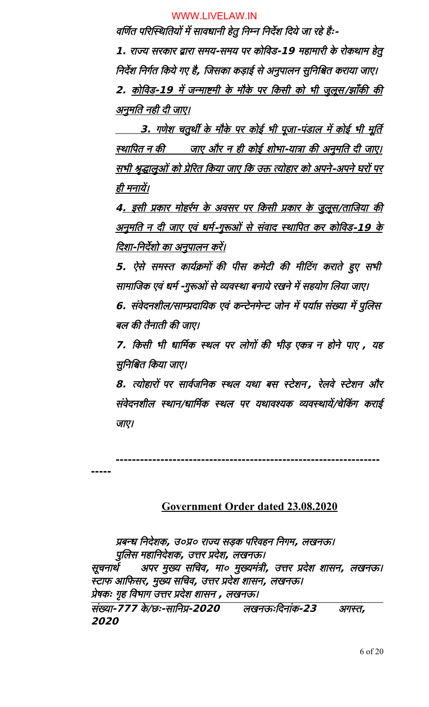वर्णित परिस्थितियों में सावधानी हेतु निम्न निर्देश दिये जा रहे हैः-

**1.** राज्य सरकार द्वारा समय**-**समय पर कोपिवड**-19** महामारी के रोकथाम हेतु निर्देश निर्गत किये गए है**,** जिसका कड़ाई से अनुपालन सुनिश्चित कराया जाए। **2.** कोपिवड **-19** में न्माष्टमी के मौके पर पिकसी को .ी ुलूस **/** झाँकी की <u>अनुमति नही दी जाए।</u>

<u>\_\_\_\_\_3. गणेश चतुर्थी के मौके पर कोई भी पूजा-पंडाल में कोई भी मूर्ति</u> <u>स्थापित न की जाए और न ही कोई शोभा-यात्रा की अनुमति दी जाए।</u> <u>सभी श्रृद्धालुओं को प्रेरित किया जाए कि उक्त त्योहार को अपने-अपने घरों पर</u> ही मनायें।

<u>4. इसी प्रकार मोहर्रम के अवसर पर किसी प्रकार के जुलूस/ताजिया की</u> <u>अनुमति न दी जाए एवं धर्म-गुरूओं से संवाद स्थापित कर कोविड-19 के</u> <u>दिशा-निर्देशो का अनुपालन करें।</u>

5. ऐसे समस्त कार्यक्रमों की पीस कमेटी की मीटिंग कराते हुए सभी सामाजिक एवं धर्म -गुरूओं से व्यवस्था बनाये रखने में सहयोग लिया जाए।

**6.** संवेदनशील/साम्प्रदायिक एवं कन्टेनमेन्ट जोन में पर्याप्त संख्या में पुलिस बल की तैनाती की जाए।

**7K/VI-.** पिकसी .ी 
ार्मिमक स्थल पर लोगों की .ीड़ एकत्र न होने पाए **,** यह सुनिश्चित किया जाए।

**8.** त्योहारों पर सार्वजनिक स्थल यथा बस स्टेशन, रेलवे स्टेशन और संवेदनशील स्थान**/**ार्मिमक स्थल पर यथावश्यक व्यवस्थायें**/**चेटिंकग कराई ाए।

**-----------------------------------------------------------------**

#### **-----**

### **Government Order dated 23.08.2020**

प्रबन्
 पिनदेशक**,** उ०प्र० राज्य सड़क परिरवहन पिनगम**,** लखनऊ। पुलिलस महापिनदेशक**,** उत्तर प्रदेश**,** लखनऊ। सूचनाथ< अपर मुख्य सधिचव**,** मा० मुख्यमंत्री**,** उत्तर प्रदेश शासन**,** लखनऊ। स्टाफ आपिफसर**,** मुख्य सधिचव**,** उत्तर प्रदेश शासन**,** लखनऊ। प्रेषकः गृह पिव.ाग उत्तर प्रदेश शासन **,** लखनऊ। संख्या**-7K/VI-7K/VI-7K/VI-** के**/**छः**-**सापिनप्र**-2020** लखनऊःपिदनांक**-23** अगस्त**, 2020**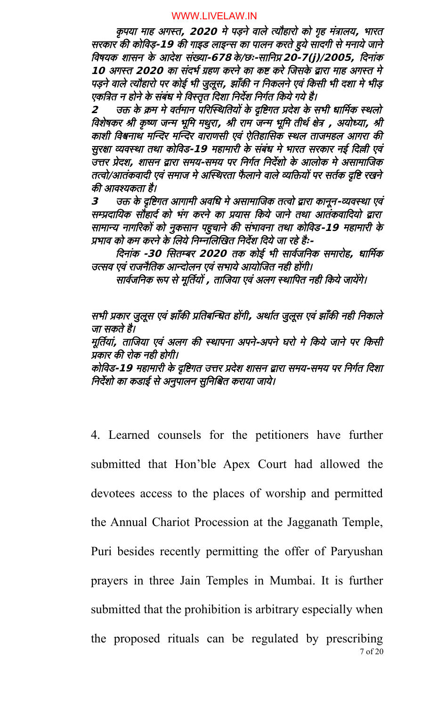कृपया माह अगस्त**, <sup>2020</sup>** मे पड़ने वाले त्यौहारो को गृह मंत्रालय**,** .ारत सरकार की कोपिवड़**-19** की गाइड लाइन्स का पालन करते हुये सादगी से मनाये ाने पिवषयक शासन के आदेश संख्या**-67K/VI-8** के**/**छः**-**सापिनप्र **20-7K/VI-(j)/2005, )/2005,** पिदनांक **10** अगस्त 2020 का संदर्भ ग्रहण करने का कष्ट करे जिसके द्वारा माह अगस्त मे पड़ने वाले त्यौहारो पर कोई भी जुलूस**,** झाँकी न निकलने एवं किसी भी दशा मे भीड़ एकत्रित न होने के संबंध मे विस्तृत दिशा निर्देश निर्गत किये गये है।

2 उक्त के क्रम मे वर्तमान परिस्थितियों के दृष्टिगत प्रदेश के सभी धार्मिक स्थलो विशेषकर श्री कृष्ण जन्म भूमि मथुरा, श्री राम जन्म भूमि तीर्थ क्षेत्र , अयोध्या, श्री काशी पिवश्वनाथ मस्थिन्दर मस्थिन्दर वाराणसी एवं ऐधितहाजिसक स्थल ता महल आगरा की सुरक्षा व्यवस्था तथा कोविड-19 महामारी के संबंध मे भारत सरकार नई दिल्ली एवं उत्तर प्रेदश, शासन द्वारा समय-समय पर निर्गत निर्देशो के आलोक मे असामाजिक तत्वो/आतंकवादी एवं समाज मे अस्थिरता फैलाने वाले व्यक्तियों पर सर्तक दृष्टि रखने की आवश्यकता है।

**<sup>3</sup>** उक्त के दृपिष्टगत आगामी अवधि
 मे असामाजि क तत्वो द्वारा कानून**-**व्यवस्था एवं सम्प्रदायिक सौहार्द को भंग करने का प्रयास किये जाने तथा आतंकवादियो द्वारा सामान्य नागरिरकों को नुकसान पहुचाने की सं.ावना तथा कोपिवड**-19** महामारी के प्रभाव को कम करने के लिये निम्नलिखित निर्देश दिये जा रहे हैः-

दिनांक -30 सितम्बर 2020 तक कोई भी सार्वजनिक समारोह, धार्मिक उत्सव एवं राजनैतिक आन्दोलन एवं सभाये आयोजित नही होंगी।

सार्वजनिक रूप से मूर्तियों **,** ताजिया एवं अलग स्थापित नही किये जायेंगे।

सभी प्रकार जुलूस एवं झाँकी प्रतिबन्धित होंगी**,** अर्थात जुलूस एवं झाँकी नही निकाले ा सकते है।

मूर्तियां, ताजिया एवं अलग की स्थापना अपने-अपने घरो मे किये जाने पर किसी प्रकार की रोक नही होगी।

कोपिवड**-19** महामारी के दृपिष्टगत उत्तर प्रदेश शासन द्वारा समय**-**समय पर पिनग<त पिदशा निर्देशो का कडाई से अनुपालन सुनिश्चित कराया जाये।

4. Learned counsels for the petitioners have further submitted that Hon'ble Apex Court had allowed the devotees access to the places of worship and permitted the Annual Chariot Procession at the Jagganath Temple, Puri besides recently permitting the offer of Paryushan prayers in three Jain Temples in Mumbai. It is further submitted that the prohibition is arbitrary especially when the proposed rituals can be regulated by prescribing

7 of 20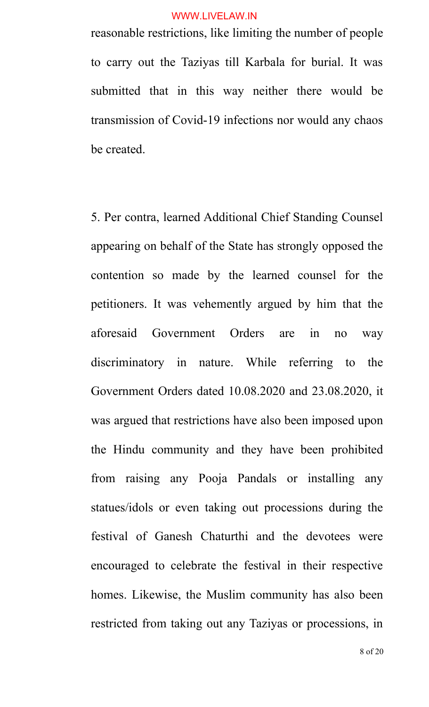reasonable restrictions, like limiting the number of people to carry out the Taziyas till Karbala for burial. It was submitted that in this way neither there would be transmission of Covid-19 infections nor would any chaos be created.

5. Per contra, learned Additional Chief Standing Counsel appearing on behalf of the State has strongly opposed the contention so made by the learned counsel for the petitioners. It was vehemently argued by him that the aforesaid Government Orders are in no way discriminatory in nature. While referring to the Government Orders dated 10.08.2020 and 23.08.2020, it was argued that restrictions have also been imposed upon the Hindu community and they have been prohibited from raising any Pooja Pandals or installing any statues/idols or even taking out processions during the festival of Ganesh Chaturthi and the devotees were encouraged to celebrate the festival in their respective homes. Likewise, the Muslim community has also been restricted from taking out any Taziyas or processions, in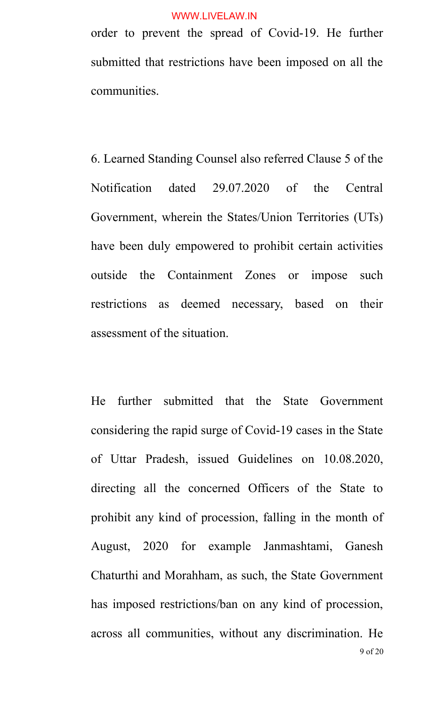order to prevent the spread of Covid-19. He further submitted that restrictions have been imposed on all the communities.

6. Learned Standing Counsel also referred Clause 5 of the Notification dated 29.07.2020 of the Central Government, wherein the States/Union Territories (UTs) have been duly empowered to prohibit certain activities outside the Containment Zones or impose such restrictions as deemed necessary, based on their assessment of the situation.

He further submitted that the State Government considering the rapid surge of Covid-19 cases in the State of Uttar Pradesh, issued Guidelines on 10.08.2020, directing all the concerned Officers of the State to prohibit any kind of procession, falling in the month of August, 2020 for example Janmashtami, Ganesh Chaturthi and Morahham, as such, the State Government has imposed restrictions/ban on any kind of procession, across all communities, without any discrimination. He 9 of 20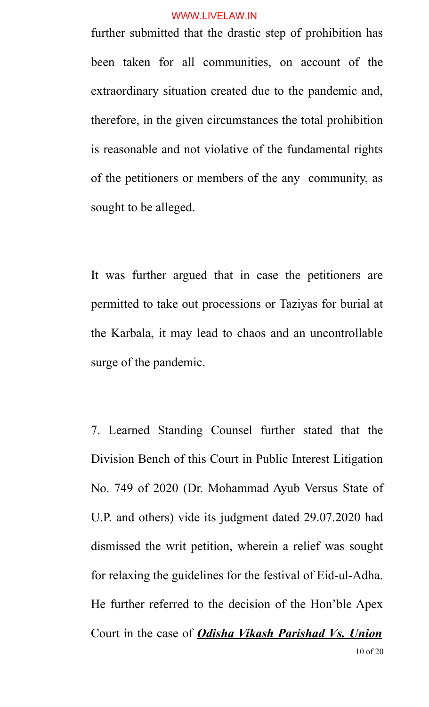further submitted that the drastic step of prohibition has been taken for all communities, on account of the extraordinary situation created due to the pandemic and, therefore, in the given circumstances the total prohibition is reasonable and not violative of the fundamental rights of the petitioners or members of the any community, as sought to be alleged.

It was further argued that in case the petitioners are permitted to take out processions or Taziyas for burial at the Karbala, it may lead to chaos and an uncontrollable surge of the pandemic.

7. Learned Standing Counsel further stated that the Division Bench of this Court in Public Interest Litigation No. 749 of 2020 (Dr. Mohammad Ayub Versus State of U.P. and others) vide its judgment dated 29.07.2020 had dismissed the writ petition, wherein a relief was sought for relaxing the guidelines for the festival of Eid-ul-Adha. He further referred to the decision of the Hon'ble Apex Court in the case of *Odisha Vikash Parishad Vs. Union* 10 of 20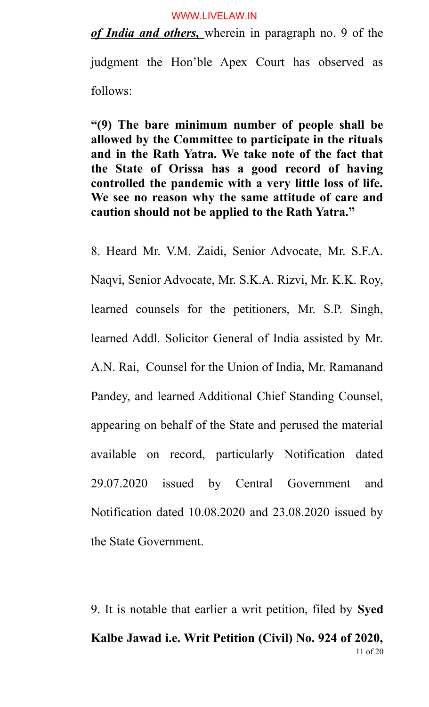*of India and others,* wherein in paragraph no. 9 of the

judgment the Hon'ble Apex Court has observed as follows:

**"(9) The bare minimum number of people shall be allowed by the Committee to participate in the rituals and in the Rath Yatra. We take note of the fact that the State of Orissa has a good record of having controlled the pandemic with a very little loss of life. We see no reason why the same attitude of care and caution should not be applied to the Rath Yatra."**

8. Heard Mr. V.M. Zaidi, Senior Advocate, Mr. S.F.A. Naqvi, Senior Advocate, Mr. S.K.A. Rizvi, Mr. K.K. Roy, learned counsels for the petitioners, Mr. S.P. Singh, learned Addl. Solicitor General of India assisted by Mr. A.N. Rai, Counsel for the Union of India, Mr. Ramanand Pandey, and learned Additional Chief Standing Counsel, appearing on behalf of the State and perused the material available on record, particularly Notification dated 29.07.2020 issued by Central Government and Notification dated 10.08.2020 and 23.08.2020 issued by the State Government.

9. It is notable that earlier a writ petition, filed by **Syed Kalbe Jawad i.e. Writ Petition (Civil) No. 924 of 2020,** 11 of 20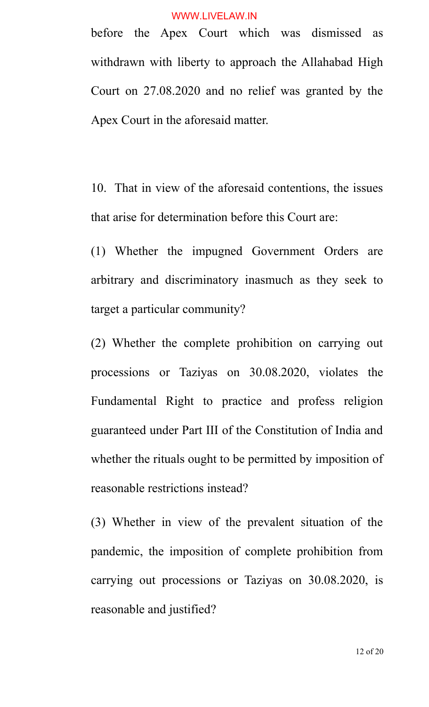before the Apex Court which was dismissed as withdrawn with liberty to approach the Allahabad High Court on 27.08.2020 and no relief was granted by the Apex Court in the aforesaid matter.

10. That in view of the aforesaid contentions, the issues that arise for determination before this Court are:

(1) Whether the impugned Government Orders are arbitrary and discriminatory inasmuch as they seek to target a particular community?

(2) Whether the complete prohibition on carrying out processions or Taziyas on 30.08.2020, violates the Fundamental Right to practice and profess religion guaranteed under Part III of the Constitution of India and whether the rituals ought to be permitted by imposition of reasonable restrictions instead?

(3) Whether in view of the prevalent situation of the pandemic, the imposition of complete prohibition from carrying out processions or Taziyas on 30.08.2020, is reasonable and justified?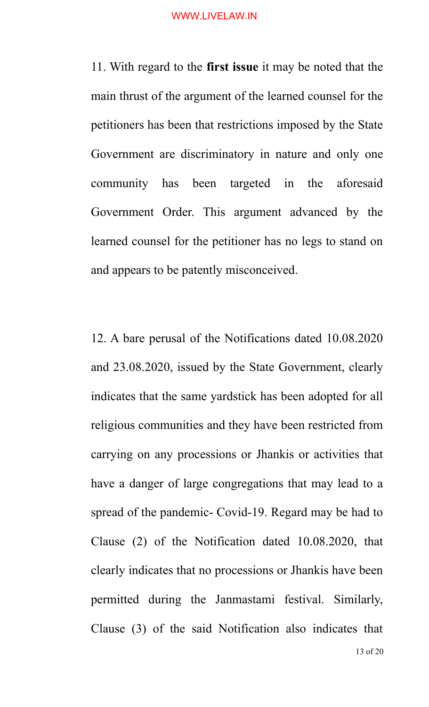11. With regard to the **first issue** it may be noted that the main thrust of the argument of the learned counsel for the petitioners has been that restrictions imposed by the State Government are discriminatory in nature and only one community has been targeted in the aforesaid Government Order. This argument advanced by the learned counsel for the petitioner has no legs to stand on and appears to be patently misconceived.

12. A bare perusal of the Notifications dated 10.08.2020 and 23.08.2020, issued by the State Government, clearly indicates that the same yardstick has been adopted for all religious communities and they have been restricted from carrying on any processions or Jhankis or activities that have a danger of large congregations that may lead to a spread of the pandemic- Covid-19. Regard may be had to Clause (2) of the Notification dated 10.08.2020, that clearly indicates that no processions or Jhankis have been permitted during the Janmastami festival. Similarly, Clause (3) of the said Notification also indicates that 13 of 20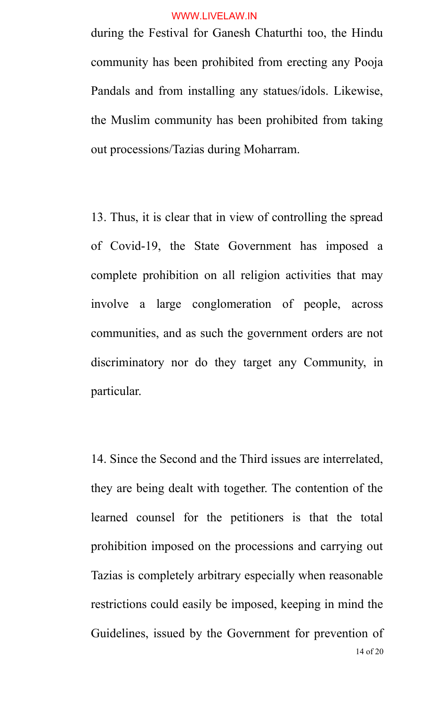during the Festival for Ganesh Chaturthi too, the Hindu community has been prohibited from erecting any Pooja Pandals and from installing any statues/idols. Likewise, the Muslim community has been prohibited from taking out processions/Tazias during Moharram.

13. Thus, it is clear that in view of controlling the spread of Covid-19, the State Government has imposed a complete prohibition on all religion activities that may involve a large conglomeration of people, across communities, and as such the government orders are not discriminatory nor do they target any Community, in particular.

14. Since the Second and the Third issues are interrelated, they are being dealt with together. The contention of the learned counsel for the petitioners is that the total prohibition imposed on the processions and carrying out Tazias is completely arbitrary especially when reasonable restrictions could easily be imposed, keeping in mind the Guidelines, issued by the Government for prevention of 14 of 20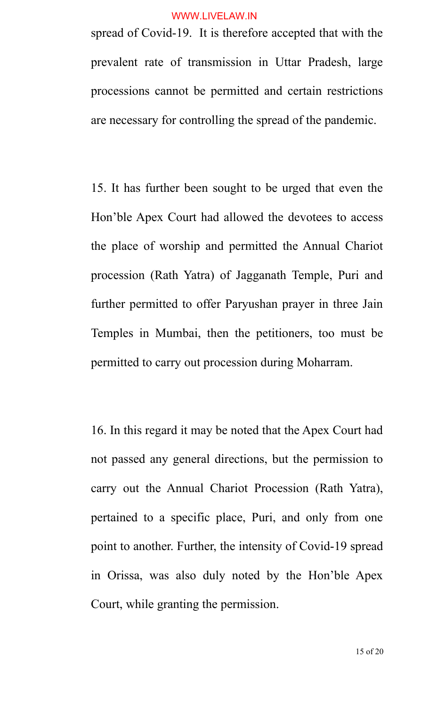spread of Covid-19. It is therefore accepted that with the prevalent rate of transmission in Uttar Pradesh, large processions cannot be permitted and certain restrictions are necessary for controlling the spread of the pandemic.

15. It has further been sought to be urged that even the Hon'ble Apex Court had allowed the devotees to access the place of worship and permitted the Annual Chariot procession (Rath Yatra) of Jagganath Temple, Puri and further permitted to offer Paryushan prayer in three Jain Temples in Mumbai, then the petitioners, too must be permitted to carry out procession during Moharram.

16. In this regard it may be noted that the Apex Court had not passed any general directions, but the permission to carry out the Annual Chariot Procession (Rath Yatra), pertained to a specific place, Puri, and only from one point to another. Further, the intensity of Covid-19 spread in Orissa, was also duly noted by the Hon'ble Apex Court, while granting the permission.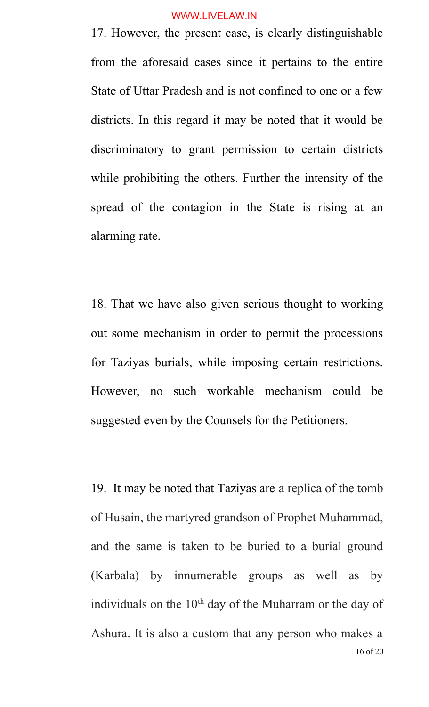17. However, the present case, is clearly distinguishable from the aforesaid cases since it pertains to the entire State of Uttar Pradesh and is not confined to one or a few districts. In this regard it may be noted that it would be discriminatory to grant permission to certain districts while prohibiting the others. Further the intensity of the spread of the contagion in the State is rising at an alarming rate.

18. That we have also given serious thought to working out some mechanism in order to permit the processions for Taziyas burials, while imposing certain restrictions. However, no such workable mechanism could be suggested even by the Counsels for the Petitioners.

19. It may be noted that Taziyas are a replica of the tomb of Husain, the martyred grandson of Prophet Muhammad, and the same is taken to be buried to a burial ground (Karbala) by innumerable groups as well as by individuals on the 10<sup>th</sup> day of the Muharram or the day of Ashura. It is also a custom that any person who makes a 16 of 20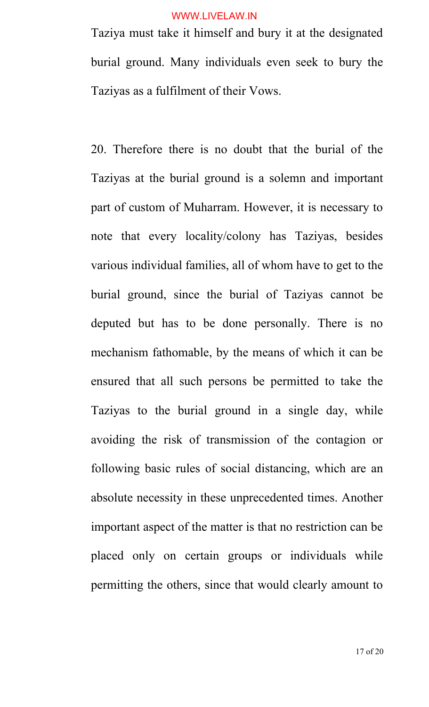Taziya must take it himself and bury it at the designated burial ground. Many individuals even seek to bury the Taziyas as a fulfilment of their Vows.

20. Therefore there is no doubt that the burial of the Taziyas at the burial ground is a solemn and important part of custom of Muharram. However, it is necessary to note that every locality/colony has Taziyas, besides various individual families, all of whom have to get to the burial ground, since the burial of Taziyas cannot be deputed but has to be done personally. There is no mechanism fathomable, by the means of which it can be ensured that all such persons be permitted to take the Taziyas to the burial ground in a single day, while avoiding the risk of transmission of the contagion or following basic rules of social distancing, which are an absolute necessity in these unprecedented times. Another important aspect of the matter is that no restriction can be placed only on certain groups or individuals while permitting the others, since that would clearly amount to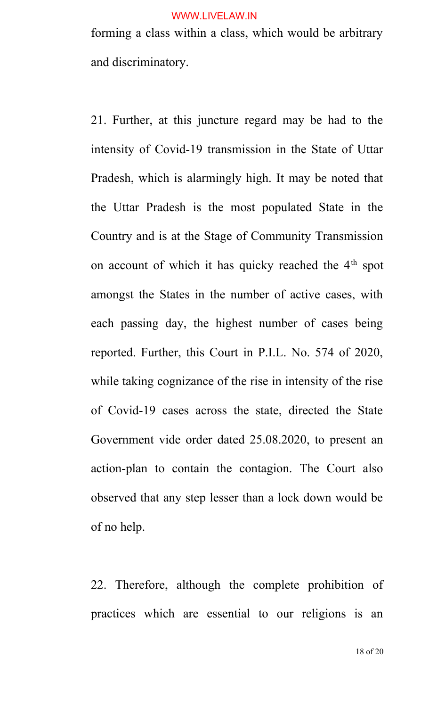forming a class within a class, which would be arbitrary and discriminatory.

21. Further, at this juncture regard may be had to the intensity of Covid-19 transmission in the State of Uttar Pradesh, which is alarmingly high. It may be noted that the Uttar Pradesh is the most populated State in the Country and is at the Stage of Community Transmission on account of which it has quicky reached the 4<sup>th</sup> spot amongst the States in the number of active cases, with each passing day, the highest number of cases being reported. Further, this Court in P.I.L. No. 574 of 2020, while taking cognizance of the rise in intensity of the rise of Covid-19 cases across the state, directed the State Government vide order dated 25.08.2020, to present an action-plan to contain the contagion. The Court also observed that any step lesser than a lock down would be of no help.

22. Therefore, although the complete prohibition of practices which are essential to our religions is an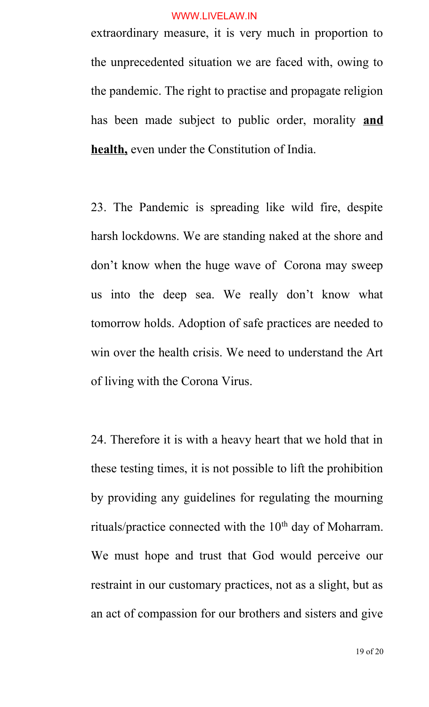extraordinary measure, it is very much in proportion to the unprecedented situation we are faced with, owing to the pandemic. The right to practise and propagate religion has been made subject to public order, morality **and health,** even under the Constitution of India.

23. The Pandemic is spreading like wild fire, despite harsh lockdowns. We are standing naked at the shore and don't know when the huge wave of Corona may sweep us into the deep sea. We really don't know what tomorrow holds. Adoption of safe practices are needed to win over the health crisis. We need to understand the Art of living with the Corona Virus.

24. Therefore it is with a heavy heart that we hold that in these testing times, it is not possible to lift the prohibition by providing any guidelines for regulating the mourning rituals/practice connected with the 10<sup>th</sup> day of Moharram. We must hope and trust that God would perceive our restraint in our customary practices, not as a slight, but as an act of compassion for our brothers and sisters and give